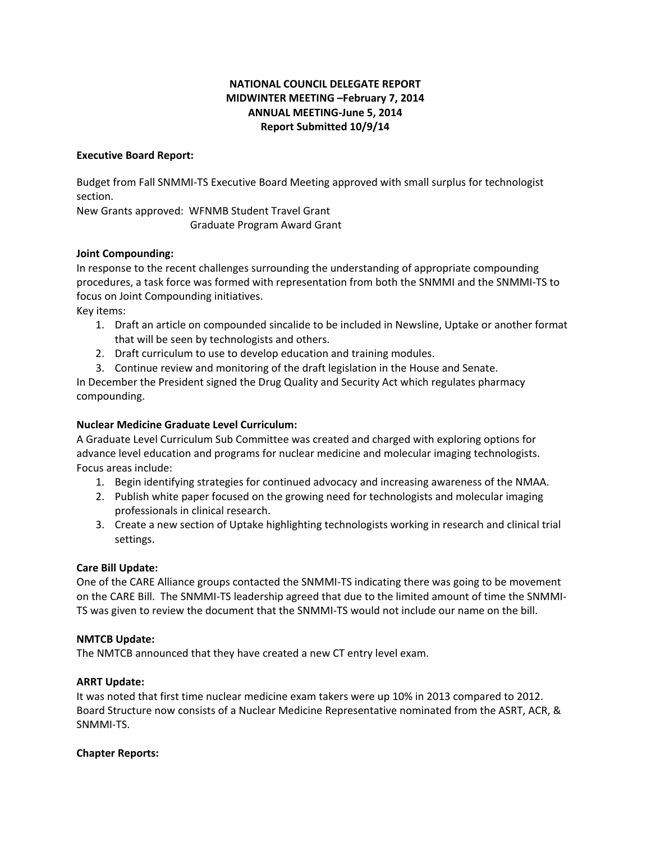# **NATIONAL COUNCIL DELEGATE REPORT MIDWINTER MEETING –February 7, 2014 ANNUAL MEETING-June 5, 2014 Report Submitted 10/9/14**

## **Executive Board Report:**

Budget from Fall SNMMI-TS Executive Board Meeting approved with small surplus for technologist section.

New Grants approved: WFNMB Student Travel Grant Graduate Program Award Grant

## **Joint Compounding:**

In response to the recent challenges surrounding the understanding of appropriate compounding procedures, a task force was formed with representation from both the SNMMI and the SNMMI-TS to focus on Joint Compounding initiatives. Key items:

- 1. Draft an article on compounded sincalide to be included in Newsline, Uptake or another format that will be seen by technologists and others.
	- 2. Draft curriculum to use to develop education and training modules.
- 3. Continue review and monitoring of the draft legislation in the House and Senate.

In December the President signed the Drug Quality and Security Act which regulates pharmacy compounding.

## **Nuclear Medicine Graduate Level Curriculum:**

A Graduate Level Curriculum Sub Committee was created and charged with exploring options for advance level education and programs for nuclear medicine and molecular imaging technologists. Focus areas include:

- 1. Begin identifying strategies for continued advocacy and increasing awareness of the NMAA.
- 2. Publish white paper focused on the growing need for technologists and molecular imaging professionals in clinical research.
- 3. Create a new section of Uptake highlighting technologists working in research and clinical trial settings.

# **Care Bill Update:**

One of the CARE Alliance groups contacted the SNMMI-TS indicating there was going to be movement on the CARE Bill. The SNMMI-TS leadership agreed that due to the limited amount of time the SNMMI-TS was given to review the document that the SNMMI-TS would not include our name on the bill.

### **NMTCB Update:**

The NMTCB announced that they have created a new CT entry level exam.

# **ARRT Update:**

It was noted that first time nuclear medicine exam takers were up 10% in 2013 compared to 2012. Board Structure now consists of a Nuclear Medicine Representative nominated from the ASRT, ACR, & SNMMI-TS.

### **Chapter Reports:**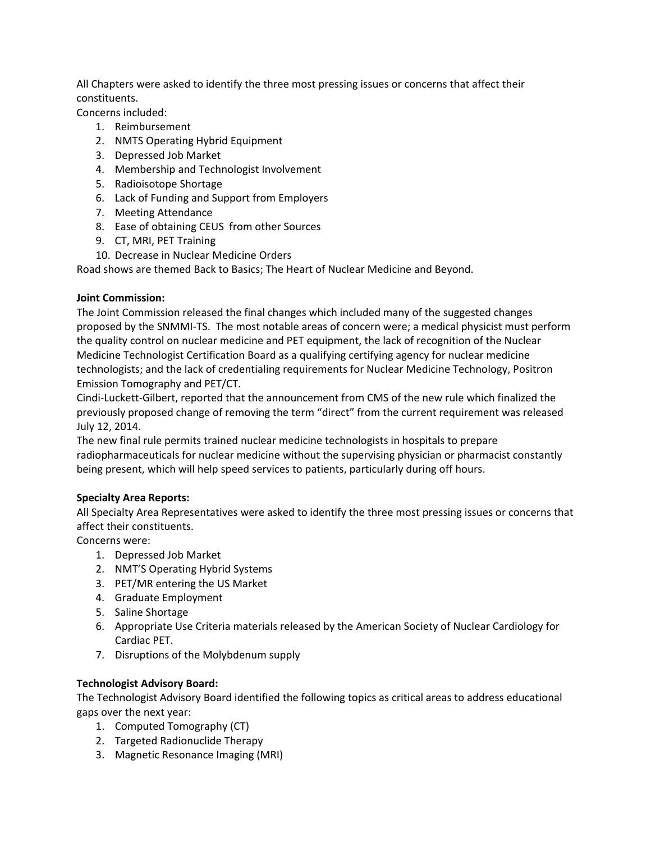All Chapters were asked to identify the three most pressing issues or concerns that affect their constituents.

Concerns included:

- 1. Reimbursement
- 2. NMTS Operating Hybrid Equipment
- 3. Depressed Job Market
- 4. Membership and Technologist Involvement
- 5. Radioisotope Shortage
- 6. Lack of Funding and Support from Employers
- 7. Meeting Attendance
- 8. Ease of obtaining CEUS from other Sources
- 9. CT, MRI, PET Training
- 10. Decrease in Nuclear Medicine Orders

Road shows are themed Back to Basics; The Heart of Nuclear Medicine and Beyond.

## **Joint Commission:**

The Joint Commission released the final changes which included many of the suggested changes proposed by the SNMMI-TS. The most notable areas of concern were; a medical physicist must perform the quality control on nuclear medicine and PET equipment, the lack of recognition of the Nuclear Medicine Technologist Certification Board as a qualifying certifying agency for nuclear medicine technologists; and the lack of credentialing requirements for Nuclear Medicine Technology, Positron Emission Tomography and PET/CT.

Cindi-Luckett-Gilbert, reported that the announcement from CMS of the new rule which finalized the previously proposed change of removing the term "direct" from the current requirement was released July 12, 2014.

The new final rule permits trained nuclear medicine technologists in hospitals to prepare radiopharmaceuticals for nuclear medicine without the supervising physician or pharmacist constantly being present, which will help speed services to patients, particularly during off hours.

# **Specialty Area Reports:**

All Specialty Area Representatives were asked to identify the three most pressing issues or concerns that affect their constituents.

Concerns were:

- 1. Depressed Job Market
- 2. NMT'S Operating Hybrid Systems
- 3. PET/MR entering the US Market
- 4. Graduate Employment
- 5. Saline Shortage
- 6. Appropriate Use Criteria materials released by the American Society of Nuclear Cardiology for Cardiac PET.
- 7. Disruptions of the Molybdenum supply

# **Technologist Advisory Board:**

The Technologist Advisory Board identified the following topics as critical areas to address educational gaps over the next year:

- 1. Computed Tomography (CT)
- 2. Targeted Radionuclide Therapy
- 3. Magnetic Resonance Imaging (MRI)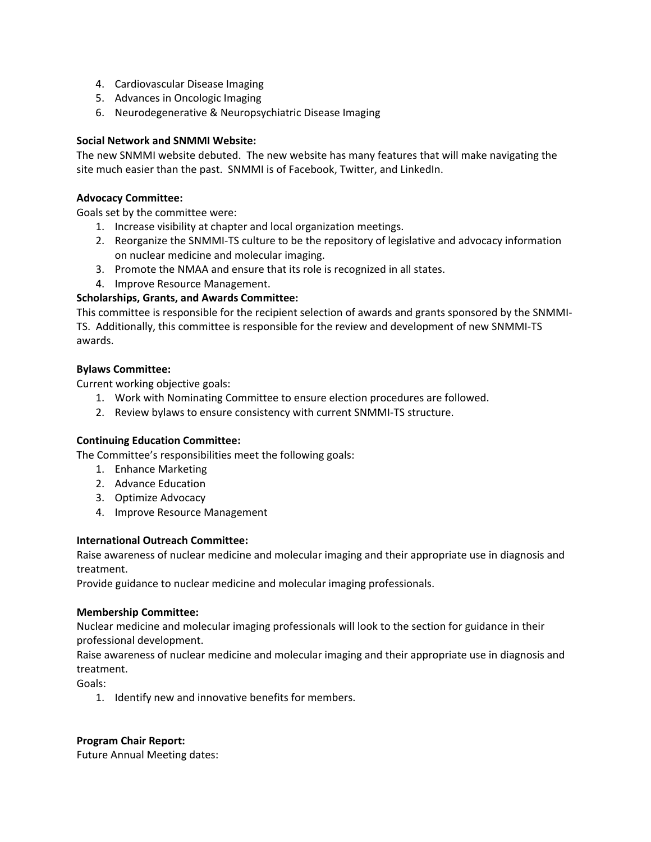- 4. Cardiovascular Disease Imaging
- 5. Advances in Oncologic Imaging
- 6. Neurodegenerative & Neuropsychiatric Disease Imaging

### **Social Network and SNMMI Website:**

The new SNMMI website debuted. The new website has many features that will make navigating the site much easier than the past. SNMMI is of Facebook, Twitter, and LinkedIn.

#### **Advocacy Committee:**

Goals set by the committee were:

- 1. Increase visibility at chapter and local organization meetings.
- 2. Reorganize the SNMMI-TS culture to be the repository of legislative and advocacy information on nuclear medicine and molecular imaging.
- 3. Promote the NMAA and ensure that its role is recognized in all states.
- 4. Improve Resource Management.

## **Scholarships, Grants, and Awards Committee:**

This committee is responsible for the recipient selection of awards and grants sponsored by the SNMMI-TS. Additionally, this committee is responsible for the review and development of new SNMMI-TS awards.

### **Bylaws Committee:**

Current working objective goals:

- 1. Work with Nominating Committee to ensure election procedures are followed.
- 2. Review bylaws to ensure consistency with current SNMMI-TS structure.

### **Continuing Education Committee:**

The Committee's responsibilities meet the following goals:

- 1. Enhance Marketing
- 2. Advance Education
- 3. Optimize Advocacy
- 4. Improve Resource Management

### **International Outreach Committee:**

Raise awareness of nuclear medicine and molecular imaging and their appropriate use in diagnosis and treatment.

Provide guidance to nuclear medicine and molecular imaging professionals.

### **Membership Committee:**

Nuclear medicine and molecular imaging professionals will look to the section for guidance in their professional development.

Raise awareness of nuclear medicine and molecular imaging and their appropriate use in diagnosis and treatment.

Goals:

1. Identify new and innovative benefits for members.

### **Program Chair Report:**

Future Annual Meeting dates: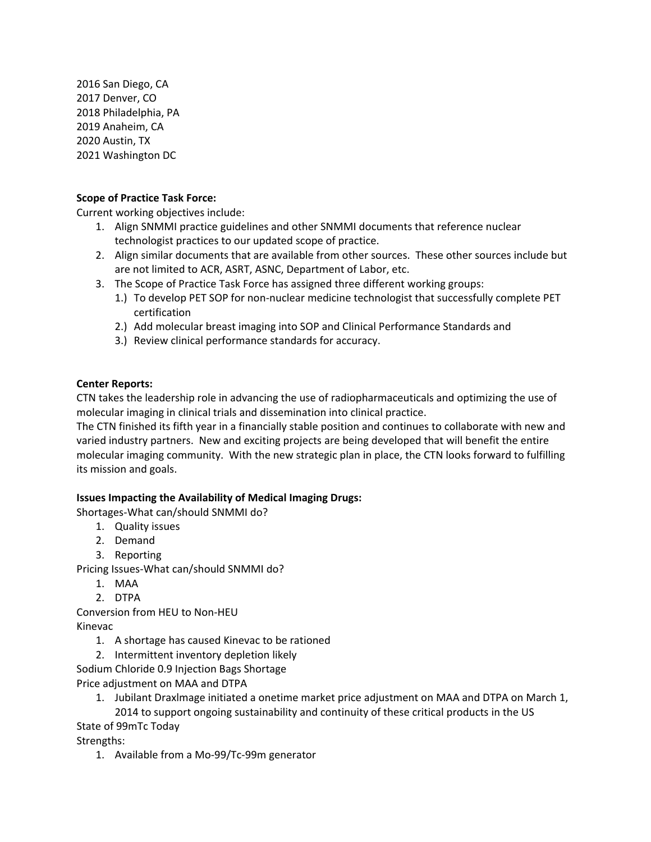2016 San Diego, CA 2017 Denver, CO 2018 Philadelphia, PA 2019 Anaheim, CA 2020 Austin, TX 2021 Washington DC

## **Scope of Practice Task Force:**

Current working objectives include:

- 1. Align SNMMI practice guidelines and other SNMMI documents that reference nuclear technologist practices to our updated scope of practice.
- 2. Align similar documents that are available from other sources. These other sources include but are not limited to ACR, ASRT, ASNC, Department of Labor, etc.
- 3. The Scope of Practice Task Force has assigned three different working groups:
	- 1.) To develop PET SOP for non-nuclear medicine technologist that successfully complete PET certification
	- 2.) Add molecular breast imaging into SOP and Clinical Performance Standards and
	- 3.) Review clinical performance standards for accuracy.

# **Center Reports:**

CTN takes the leadership role in advancing the use of radiopharmaceuticals and optimizing the use of molecular imaging in clinical trials and dissemination into clinical practice.

The CTN finished its fifth year in a financially stable position and continues to collaborate with new and varied industry partners. New and exciting projects are being developed that will benefit the entire molecular imaging community. With the new strategic plan in place, the CTN looks forward to fulfilling its mission and goals.

# **Issues Impacting the Availability of Medical Imaging Drugs:**

Shortages-What can/should SNMMI do?

- 1. Quality issues
- 2. Demand
- 3. Reporting

Pricing Issues-What can/should SNMMI do?

- 1. MAA
- 2. DTPA

Conversion from HEU to Non-HEU Kinevac

- 1. A shortage has caused Kinevac to be rationed
- 2. Intermittent inventory depletion likely
- Sodium Chloride 0.9 Injection Bags Shortage

Price adjustment on MAA and DTPA

1. Jubilant Draxlmage initiated a onetime market price adjustment on MAA and DTPA on March 1,

2014 to support ongoing sustainability and continuity of these critical products in the US State of 99mTc Today

Strengths:

1. Available from a Mo-99/Tc-99m generator